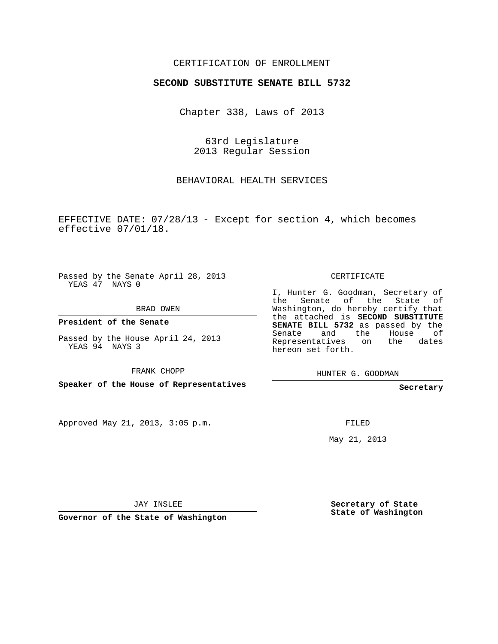## CERTIFICATION OF ENROLLMENT

## **SECOND SUBSTITUTE SENATE BILL 5732**

Chapter 338, Laws of 2013

63rd Legislature 2013 Regular Session

BEHAVIORAL HEALTH SERVICES

EFFECTIVE DATE: 07/28/13 - Except for section 4, which becomes effective 07/01/18.

Passed by the Senate April 28, 2013 YEAS 47 NAYS 0

BRAD OWEN

**President of the Senate**

Passed by the House April 24, 2013 YEAS 94 NAYS 3

FRANK CHOPP

**Speaker of the House of Representatives**

Approved May 21, 2013, 3:05 p.m.

CERTIFICATE

I, Hunter G. Goodman, Secretary of the Senate of the State of Washington, do hereby certify that the attached is **SECOND SUBSTITUTE SENATE BILL 5732** as passed by the Senate and the House of Senate and the House Representatives on the dates hereon set forth.

HUNTER G. GOODMAN

**Secretary**

FILED

May 21, 2013

JAY INSLEE

**Governor of the State of Washington**

**Secretary of State State of Washington**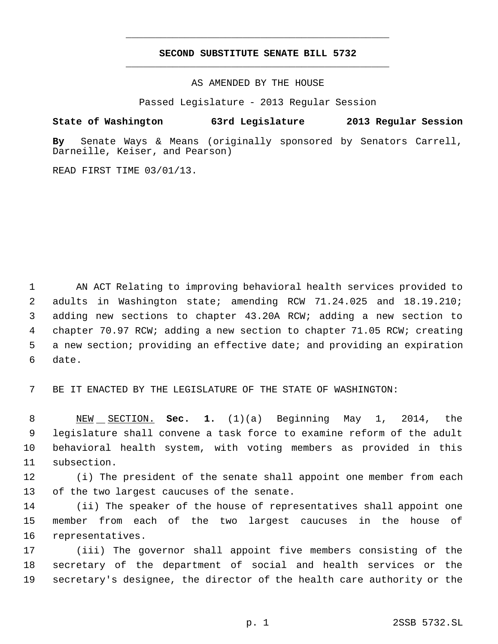## **SECOND SUBSTITUTE SENATE BILL 5732** \_\_\_\_\_\_\_\_\_\_\_\_\_\_\_\_\_\_\_\_\_\_\_\_\_\_\_\_\_\_\_\_\_\_\_\_\_\_\_\_\_\_\_\_\_

\_\_\_\_\_\_\_\_\_\_\_\_\_\_\_\_\_\_\_\_\_\_\_\_\_\_\_\_\_\_\_\_\_\_\_\_\_\_\_\_\_\_\_\_\_

AS AMENDED BY THE HOUSE

Passed Legislature - 2013 Regular Session

## **State of Washington 63rd Legislature 2013 Regular Session**

**By** Senate Ways & Means (originally sponsored by Senators Carrell, Darneille, Keiser, and Pearson)

READ FIRST TIME 03/01/13.

 AN ACT Relating to improving behavioral health services provided to adults in Washington state; amending RCW 71.24.025 and 18.19.210; adding new sections to chapter 43.20A RCW; adding a new section to chapter 70.97 RCW; adding a new section to chapter 71.05 RCW; creating a new section; providing an effective date; and providing an expiration date.

BE IT ENACTED BY THE LEGISLATURE OF THE STATE OF WASHINGTON:

 NEW SECTION. **Sec. 1.** (1)(a) Beginning May 1, 2014, the legislature shall convene a task force to examine reform of the adult behavioral health system, with voting members as provided in this subsection.

 (i) The president of the senate shall appoint one member from each of the two largest caucuses of the senate.

 (ii) The speaker of the house of representatives shall appoint one member from each of the two largest caucuses in the house of representatives.

 (iii) The governor shall appoint five members consisting of the secretary of the department of social and health services or the secretary's designee, the director of the health care authority or the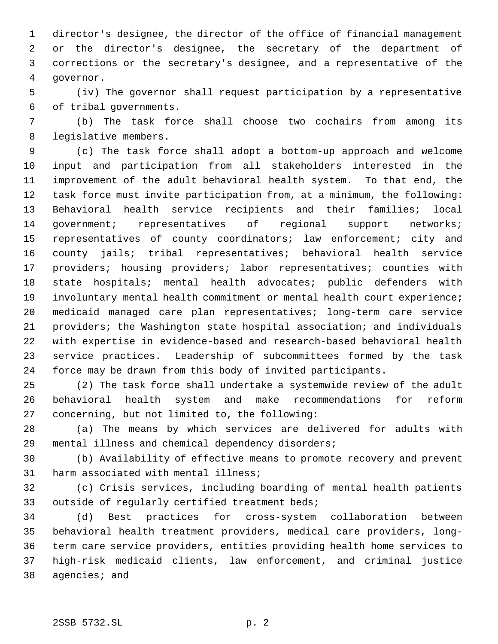director's designee, the director of the office of financial management or the director's designee, the secretary of the department of corrections or the secretary's designee, and a representative of the governor.

 (iv) The governor shall request participation by a representative of tribal governments.

 (b) The task force shall choose two cochairs from among its legislative members.

 (c) The task force shall adopt a bottom-up approach and welcome input and participation from all stakeholders interested in the improvement of the adult behavioral health system. To that end, the task force must invite participation from, at a minimum, the following: Behavioral health service recipients and their families; local 14 government; representatives of regional support networks; representatives of county coordinators; law enforcement; city and county jails; tribal representatives; behavioral health service providers; housing providers; labor representatives; counties with state hospitals; mental health advocates; public defenders with involuntary mental health commitment or mental health court experience; medicaid managed care plan representatives; long-term care service providers; the Washington state hospital association; and individuals with expertise in evidence-based and research-based behavioral health service practices. Leadership of subcommittees formed by the task force may be drawn from this body of invited participants.

 (2) The task force shall undertake a systemwide review of the adult behavioral health system and make recommendations for reform concerning, but not limited to, the following:

 (a) The means by which services are delivered for adults with mental illness and chemical dependency disorders;

 (b) Availability of effective means to promote recovery and prevent harm associated with mental illness;

 (c) Crisis services, including boarding of mental health patients outside of regularly certified treatment beds;

 (d) Best practices for cross-system collaboration between behavioral health treatment providers, medical care providers, long- term care service providers, entities providing health home services to high-risk medicaid clients, law enforcement, and criminal justice agencies; and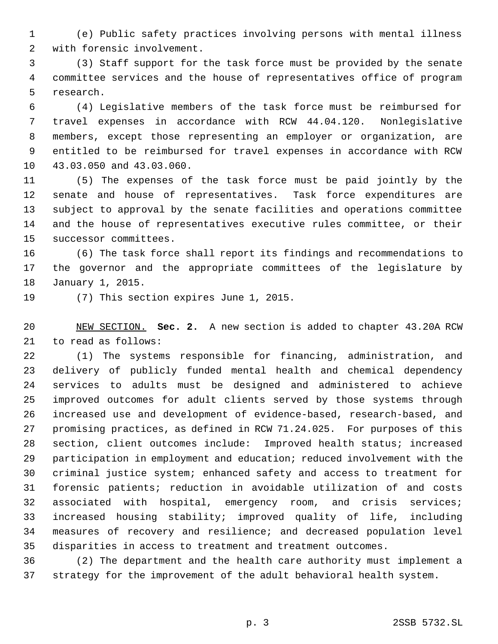(e) Public safety practices involving persons with mental illness with forensic involvement.

 (3) Staff support for the task force must be provided by the senate committee services and the house of representatives office of program research.

 (4) Legislative members of the task force must be reimbursed for travel expenses in accordance with RCW 44.04.120. Nonlegislative members, except those representing an employer or organization, are entitled to be reimbursed for travel expenses in accordance with RCW 43.03.050 and 43.03.060.

 (5) The expenses of the task force must be paid jointly by the senate and house of representatives. Task force expenditures are subject to approval by the senate facilities and operations committee and the house of representatives executive rules committee, or their successor committees.

 (6) The task force shall report its findings and recommendations to the governor and the appropriate committees of the legislature by January 1, 2015.

(7) This section expires June 1, 2015.

 NEW SECTION. **Sec. 2.** A new section is added to chapter 43.20A RCW to read as follows:

 (1) The systems responsible for financing, administration, and delivery of publicly funded mental health and chemical dependency services to adults must be designed and administered to achieve improved outcomes for adult clients served by those systems through increased use and development of evidence-based, research-based, and promising practices, as defined in RCW 71.24.025. For purposes of this section, client outcomes include: Improved health status; increased participation in employment and education; reduced involvement with the criminal justice system; enhanced safety and access to treatment for forensic patients; reduction in avoidable utilization of and costs associated with hospital, emergency room, and crisis services; increased housing stability; improved quality of life, including measures of recovery and resilience; and decreased population level disparities in access to treatment and treatment outcomes.

 (2) The department and the health care authority must implement a strategy for the improvement of the adult behavioral health system.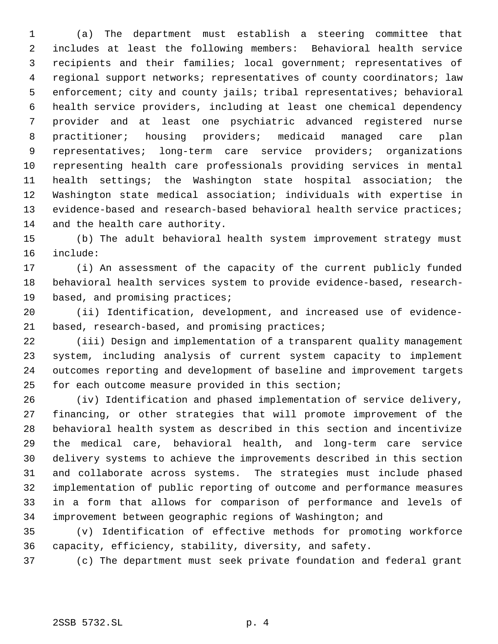(a) The department must establish a steering committee that includes at least the following members: Behavioral health service recipients and their families; local government; representatives of regional support networks; representatives of county coordinators; law enforcement; city and county jails; tribal representatives; behavioral health service providers, including at least one chemical dependency provider and at least one psychiatric advanced registered nurse practitioner; housing providers; medicaid managed care plan representatives; long-term care service providers; organizations representing health care professionals providing services in mental health settings; the Washington state hospital association; the Washington state medical association; individuals with expertise in 13 evidence-based and research-based behavioral health service practices; and the health care authority.

 (b) The adult behavioral health system improvement strategy must include:

 (i) An assessment of the capacity of the current publicly funded behavioral health services system to provide evidence-based, research-based, and promising practices;

 (ii) Identification, development, and increased use of evidence-21 based, research-based, and promising practices;

 (iii) Design and implementation of a transparent quality management system, including analysis of current system capacity to implement outcomes reporting and development of baseline and improvement targets for each outcome measure provided in this section;

 (iv) Identification and phased implementation of service delivery, financing, or other strategies that will promote improvement of the behavioral health system as described in this section and incentivize the medical care, behavioral health, and long-term care service delivery systems to achieve the improvements described in this section and collaborate across systems. The strategies must include phased implementation of public reporting of outcome and performance measures in a form that allows for comparison of performance and levels of improvement between geographic regions of Washington; and

 (v) Identification of effective methods for promoting workforce capacity, efficiency, stability, diversity, and safety.

(c) The department must seek private foundation and federal grant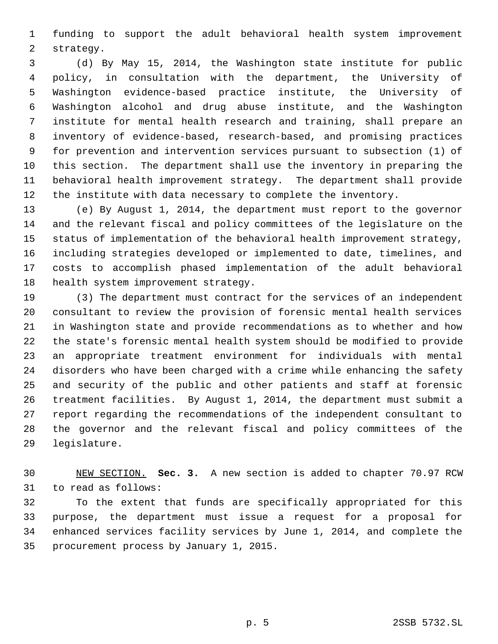funding to support the adult behavioral health system improvement strategy.

 (d) By May 15, 2014, the Washington state institute for public policy, in consultation with the department, the University of Washington evidence-based practice institute, the University of Washington alcohol and drug abuse institute, and the Washington institute for mental health research and training, shall prepare an inventory of evidence-based, research-based, and promising practices for prevention and intervention services pursuant to subsection (1) of this section. The department shall use the inventory in preparing the behavioral health improvement strategy. The department shall provide the institute with data necessary to complete the inventory.

 (e) By August 1, 2014, the department must report to the governor and the relevant fiscal and policy committees of the legislature on the status of implementation of the behavioral health improvement strategy, including strategies developed or implemented to date, timelines, and costs to accomplish phased implementation of the adult behavioral health system improvement strategy.

 (3) The department must contract for the services of an independent consultant to review the provision of forensic mental health services in Washington state and provide recommendations as to whether and how the state's forensic mental health system should be modified to provide an appropriate treatment environment for individuals with mental disorders who have been charged with a crime while enhancing the safety and security of the public and other patients and staff at forensic treatment facilities. By August 1, 2014, the department must submit a report regarding the recommendations of the independent consultant to the governor and the relevant fiscal and policy committees of the legislature.

 NEW SECTION. **Sec. 3.** A new section is added to chapter 70.97 RCW to read as follows:

 To the extent that funds are specifically appropriated for this purpose, the department must issue a request for a proposal for enhanced services facility services by June 1, 2014, and complete the procurement process by January 1, 2015.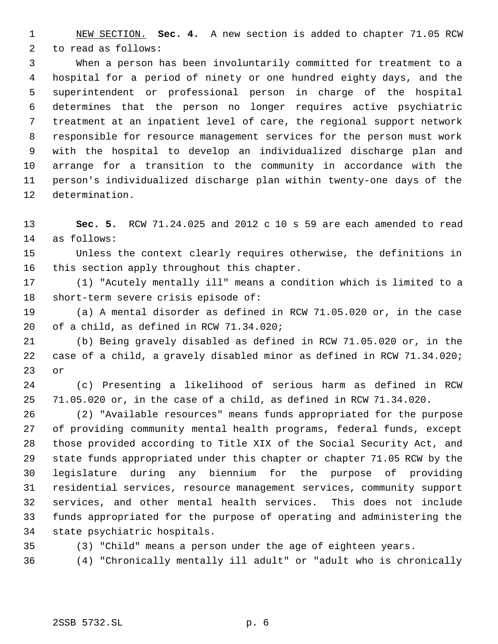NEW SECTION. **Sec. 4.** A new section is added to chapter 71.05 RCW to read as follows:

 When a person has been involuntarily committed for treatment to a hospital for a period of ninety or one hundred eighty days, and the superintendent or professional person in charge of the hospital determines that the person no longer requires active psychiatric treatment at an inpatient level of care, the regional support network responsible for resource management services for the person must work with the hospital to develop an individualized discharge plan and arrange for a transition to the community in accordance with the person's individualized discharge plan within twenty-one days of the determination.

 **Sec. 5.** RCW 71.24.025 and 2012 c 10 s 59 are each amended to read as follows:

 Unless the context clearly requires otherwise, the definitions in this section apply throughout this chapter.

 (1) "Acutely mentally ill" means a condition which is limited to a short-term severe crisis episode of:

 (a) A mental disorder as defined in RCW 71.05.020 or, in the case of a child, as defined in RCW 71.34.020;

 (b) Being gravely disabled as defined in RCW 71.05.020 or, in the case of a child, a gravely disabled minor as defined in RCW 71.34.020; or

 (c) Presenting a likelihood of serious harm as defined in RCW 71.05.020 or, in the case of a child, as defined in RCW 71.34.020.

 (2) "Available resources" means funds appropriated for the purpose of providing community mental health programs, federal funds, except those provided according to Title XIX of the Social Security Act, and state funds appropriated under this chapter or chapter 71.05 RCW by the legislature during any biennium for the purpose of providing residential services, resource management services, community support services, and other mental health services. This does not include funds appropriated for the purpose of operating and administering the state psychiatric hospitals.

(3) "Child" means a person under the age of eighteen years.

(4) "Chronically mentally ill adult" or "adult who is chronically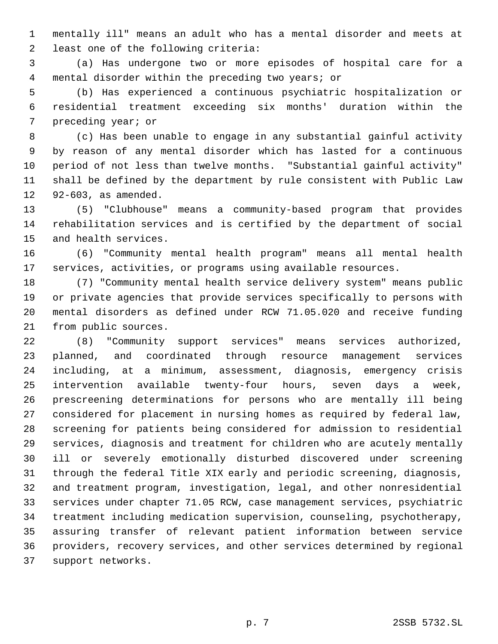mentally ill" means an adult who has a mental disorder and meets at least one of the following criteria:

 (a) Has undergone two or more episodes of hospital care for a mental disorder within the preceding two years; or

 (b) Has experienced a continuous psychiatric hospitalization or residential treatment exceeding six months' duration within the preceding year; or

 (c) Has been unable to engage in any substantial gainful activity by reason of any mental disorder which has lasted for a continuous period of not less than twelve months. "Substantial gainful activity" shall be defined by the department by rule consistent with Public Law 92-603, as amended.

 (5) "Clubhouse" means a community-based program that provides rehabilitation services and is certified by the department of social and health services.

 (6) "Community mental health program" means all mental health services, activities, or programs using available resources.

 (7) "Community mental health service delivery system" means public or private agencies that provide services specifically to persons with mental disorders as defined under RCW 71.05.020 and receive funding from public sources.

 (8) "Community support services" means services authorized, planned, and coordinated through resource management services including, at a minimum, assessment, diagnosis, emergency crisis intervention available twenty-four hours, seven days a week, prescreening determinations for persons who are mentally ill being considered for placement in nursing homes as required by federal law, screening for patients being considered for admission to residential services, diagnosis and treatment for children who are acutely mentally ill or severely emotionally disturbed discovered under screening through the federal Title XIX early and periodic screening, diagnosis, and treatment program, investigation, legal, and other nonresidential services under chapter 71.05 RCW, case management services, psychiatric treatment including medication supervision, counseling, psychotherapy, assuring transfer of relevant patient information between service providers, recovery services, and other services determined by regional support networks.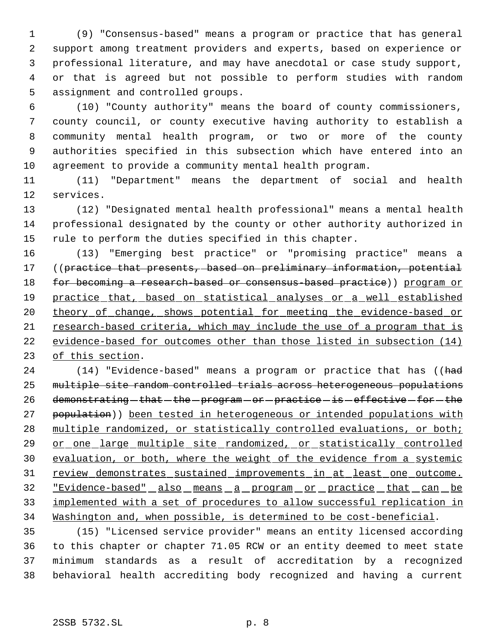(9) "Consensus-based" means a program or practice that has general support among treatment providers and experts, based on experience or professional literature, and may have anecdotal or case study support, or that is agreed but not possible to perform studies with random assignment and controlled groups.

 (10) "County authority" means the board of county commissioners, county council, or county executive having authority to establish a community mental health program, or two or more of the county authorities specified in this subsection which have entered into an agreement to provide a community mental health program.

 (11) "Department" means the department of social and health services.

 (12) "Designated mental health professional" means a mental health professional designated by the county or other authority authorized in rule to perform the duties specified in this chapter.

 (13) "Emerging best practice" or "promising practice" means a ((practice that presents, based on preliminary information, potential 18 for becoming a research-based or consensus-based practice)) program or 19 practice that, based on statistical analyses or a well established 20 theory of change, shows potential for meeting the evidence-based or research-based criteria, which may include the use of a program that is evidence-based for outcomes other than those listed in subsection (14) of this section.

24 (14) "Evidence-based" means a program or practice that has ((had multiple site random controlled trials across heterogeneous populations 26 demonstrating - that - the - program - or - practice - is - effective - for - the population)) been tested in heterogeneous or intended populations with 28 multiple randomized, or statistically controlled evaluations, or both; 29 or one large multiple site randomized, or statistically controlled evaluation, or both, where the weight of the evidence from a systemic 31 review demonstrates sustained improvements in at least one outcome. "Evidence-based" also means a program or practice that can be implemented with a set of procedures to allow successful replication in Washington and, when possible, is determined to be cost-beneficial.

 (15) "Licensed service provider" means an entity licensed according to this chapter or chapter 71.05 RCW or an entity deemed to meet state minimum standards as a result of accreditation by a recognized behavioral health accrediting body recognized and having a current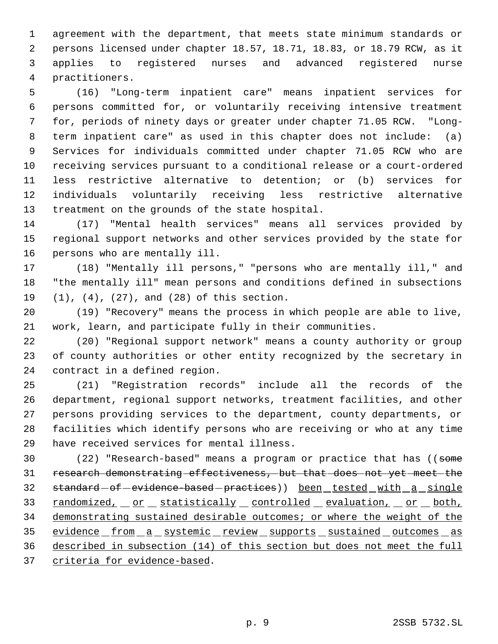agreement with the department, that meets state minimum standards or persons licensed under chapter 18.57, 18.71, 18.83, or 18.79 RCW, as it applies to registered nurses and advanced registered nurse practitioners.

 (16) "Long-term inpatient care" means inpatient services for persons committed for, or voluntarily receiving intensive treatment for, periods of ninety days or greater under chapter 71.05 RCW. "Long- term inpatient care" as used in this chapter does not include: (a) Services for individuals committed under chapter 71.05 RCW who are receiving services pursuant to a conditional release or a court-ordered less restrictive alternative to detention; or (b) services for individuals voluntarily receiving less restrictive alternative treatment on the grounds of the state hospital.

 (17) "Mental health services" means all services provided by regional support networks and other services provided by the state for persons who are mentally ill.

 (18) "Mentally ill persons," "persons who are mentally ill," and "the mentally ill" mean persons and conditions defined in subsections (1), (4), (27), and (28) of this section.

 (19) "Recovery" means the process in which people are able to live, work, learn, and participate fully in their communities.

 (20) "Regional support network" means a county authority or group of county authorities or other entity recognized by the secretary in contract in a defined region.

 (21) "Registration records" include all the records of the department, regional support networks, treatment facilities, and other persons providing services to the department, county departments, or facilities which identify persons who are receiving or who at any time have received services for mental illness.

30 (22) "Research-based" means a program or practice that has ((some research demonstrating effectiveness, but that does not yet meet the 32 standard-of-evidence-based-practices)) been\_tested\_with\_a\_single 33 randomized, or statistically controlled evaluation, or both, demonstrating sustained desirable outcomes; or where the weight of the 35 evidence from a systemic review supports sustained outcomes as described in subsection (14) of this section but does not meet the full criteria for evidence-based.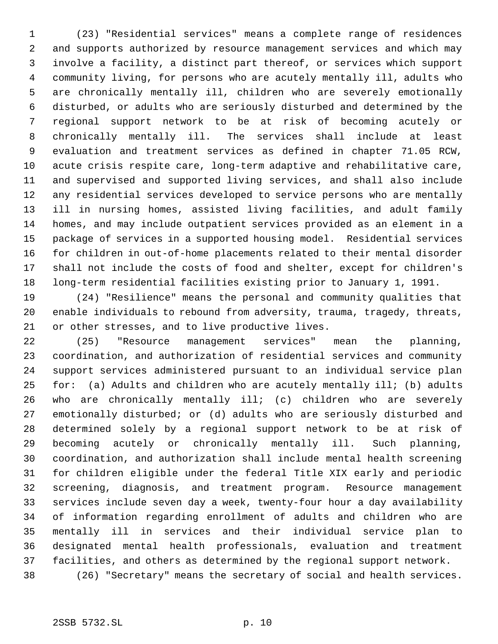(23) "Residential services" means a complete range of residences and supports authorized by resource management services and which may involve a facility, a distinct part thereof, or services which support community living, for persons who are acutely mentally ill, adults who are chronically mentally ill, children who are severely emotionally disturbed, or adults who are seriously disturbed and determined by the regional support network to be at risk of becoming acutely or chronically mentally ill. The services shall include at least evaluation and treatment services as defined in chapter 71.05 RCW, acute crisis respite care, long-term adaptive and rehabilitative care, and supervised and supported living services, and shall also include any residential services developed to service persons who are mentally ill in nursing homes, assisted living facilities, and adult family homes, and may include outpatient services provided as an element in a package of services in a supported housing model. Residential services for children in out-of-home placements related to their mental disorder shall not include the costs of food and shelter, except for children's long-term residential facilities existing prior to January 1, 1991.

 (24) "Resilience" means the personal and community qualities that enable individuals to rebound from adversity, trauma, tragedy, threats, or other stresses, and to live productive lives.

 (25) "Resource management services" mean the planning, coordination, and authorization of residential services and community support services administered pursuant to an individual service plan for: (a) Adults and children who are acutely mentally ill; (b) adults who are chronically mentally ill; (c) children who are severely emotionally disturbed; or (d) adults who are seriously disturbed and determined solely by a regional support network to be at risk of becoming acutely or chronically mentally ill. Such planning, coordination, and authorization shall include mental health screening for children eligible under the federal Title XIX early and periodic screening, diagnosis, and treatment program. Resource management services include seven day a week, twenty-four hour a day availability of information regarding enrollment of adults and children who are mentally ill in services and their individual service plan to designated mental health professionals, evaluation and treatment facilities, and others as determined by the regional support network. (26) "Secretary" means the secretary of social and health services.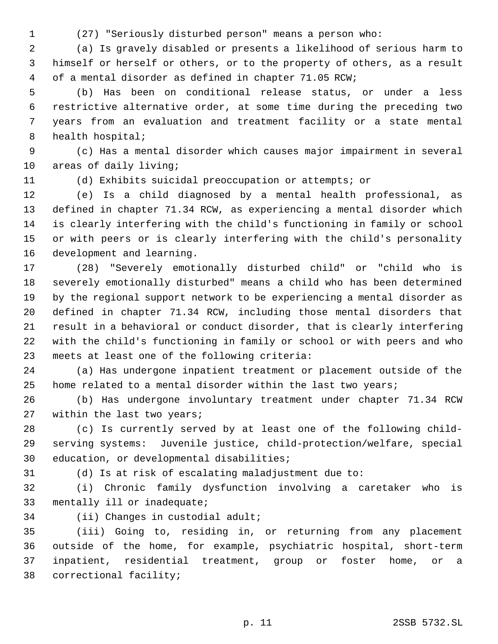(27) "Seriously disturbed person" means a person who:

 (a) Is gravely disabled or presents a likelihood of serious harm to himself or herself or others, or to the property of others, as a result of a mental disorder as defined in chapter 71.05 RCW;

 (b) Has been on conditional release status, or under a less restrictive alternative order, at some time during the preceding two years from an evaluation and treatment facility or a state mental health hospital;

 (c) Has a mental disorder which causes major impairment in several areas of daily living;

(d) Exhibits suicidal preoccupation or attempts; or

 (e) Is a child diagnosed by a mental health professional, as defined in chapter 71.34 RCW, as experiencing a mental disorder which is clearly interfering with the child's functioning in family or school or with peers or is clearly interfering with the child's personality development and learning.

 (28) "Severely emotionally disturbed child" or "child who is severely emotionally disturbed" means a child who has been determined by the regional support network to be experiencing a mental disorder as defined in chapter 71.34 RCW, including those mental disorders that result in a behavioral or conduct disorder, that is clearly interfering with the child's functioning in family or school or with peers and who meets at least one of the following criteria:

 (a) Has undergone inpatient treatment or placement outside of the home related to a mental disorder within the last two years;

 (b) Has undergone involuntary treatment under chapter 71.34 RCW within the last two years;

 (c) Is currently served by at least one of the following child- serving systems: Juvenile justice, child-protection/welfare, special education, or developmental disabilities;

(d) Is at risk of escalating maladjustment due to:

 (i) Chronic family dysfunction involving a caretaker who is mentally ill or inadequate;

(ii) Changes in custodial adult;

 (iii) Going to, residing in, or returning from any placement outside of the home, for example, psychiatric hospital, short-term inpatient, residential treatment, group or foster home, or a correctional facility;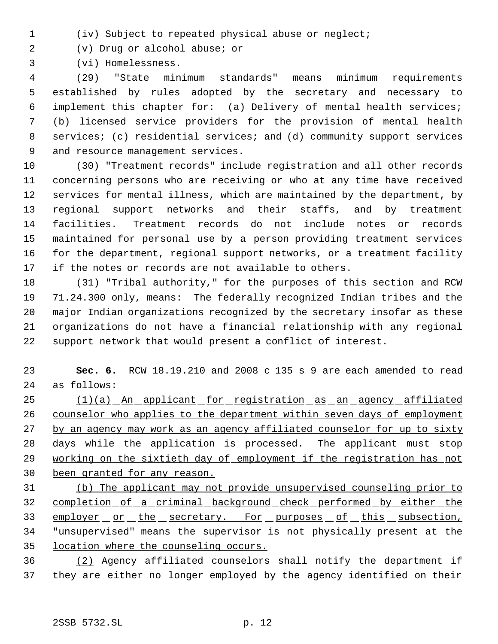(iv) Subject to repeated physical abuse or neglect;

(v) Drug or alcohol abuse; or

(vi) Homelessness.

 (29) "State minimum standards" means minimum requirements established by rules adopted by the secretary and necessary to implement this chapter for: (a) Delivery of mental health services; (b) licensed service providers for the provision of mental health services; (c) residential services; and (d) community support services and resource management services.

 (30) "Treatment records" include registration and all other records concerning persons who are receiving or who at any time have received services for mental illness, which are maintained by the department, by regional support networks and their staffs, and by treatment facilities. Treatment records do not include notes or records maintained for personal use by a person providing treatment services for the department, regional support networks, or a treatment facility if the notes or records are not available to others.

 (31) "Tribal authority," for the purposes of this section and RCW 71.24.300 only, means: The federally recognized Indian tribes and the major Indian organizations recognized by the secretary insofar as these organizations do not have a financial relationship with any regional support network that would present a conflict of interest.

 **Sec. 6.** RCW 18.19.210 and 2008 c 135 s 9 are each amended to read as follows:

25 (1)(a) An applicant for registration as an agency affiliated 26 counselor who applies to the department within seven days of employment 27 by an agency may work as an agency affiliated counselor for up to sixty 28 days while the application is processed. The applicant must stop working on the sixtieth day of employment if the registration has not been granted for any reason.

 (b) The applicant may not provide unsupervised counseling prior to completion of a criminal background check performed by either the 33 employer or the secretary. For purposes of this subsection, "unsupervised" means the supervisor is not physically present at the location where the counseling occurs.

 (2) Agency affiliated counselors shall notify the department if they are either no longer employed by the agency identified on their